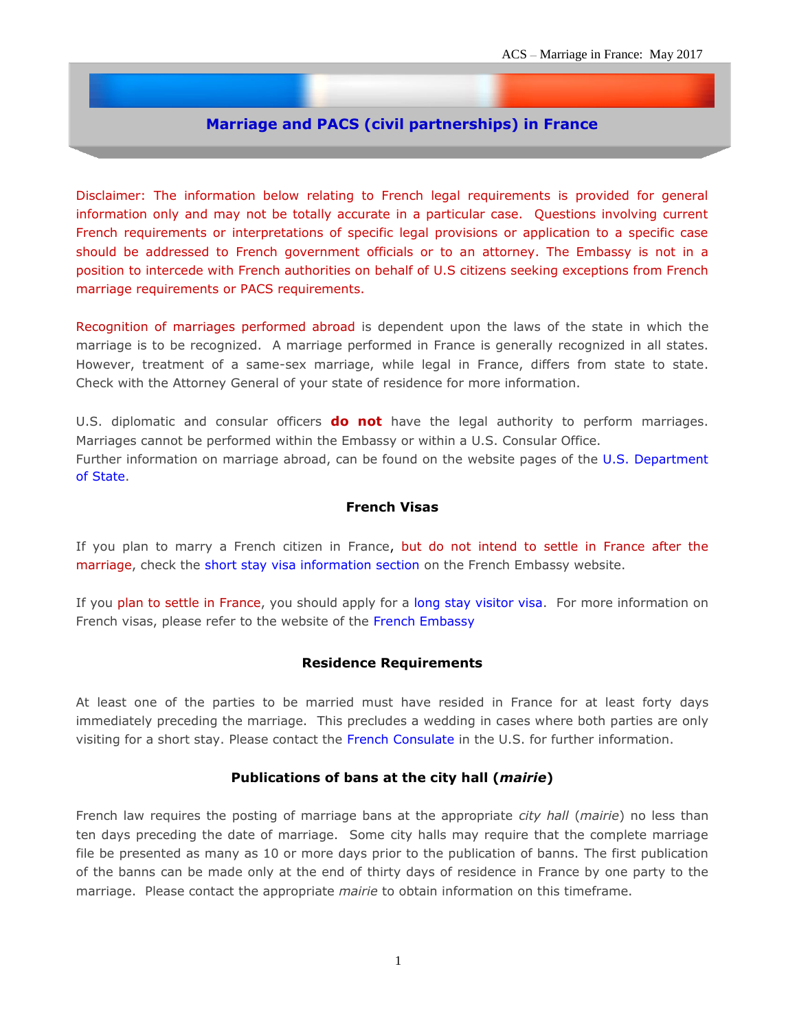# **Marriage and PACS (civil partnerships) in France**

Disclaimer: The information below relating to French legal requirements is provided for general information only and may not be totally accurate in a particular case. Questions involving current French requirements or interpretations of specific legal provisions or application to a specific case should be addressed to French government officials or to an attorney. The Embassy is not in a position to intercede with French authorities on behalf of U.S citizens seeking exceptions from French marriage requirements or PACS requirements.

Recognition of marriages performed abroad is dependent upon the laws of the state in which the marriage is to be recognized. A marriage performed in France is generally recognized in all states. However, treatment of a same-sex marriage, while legal in France, differs from state to state. Check with the Attorney General of your state of residence for more information.

U.S. diplomatic and consular officers **do not** have the legal authority to perform marriages. Marriages cannot be performed within the Embassy or within a U.S. Consular Office. Further information on marriage abroad, can be found on the website pages of the [U.S. Department](http://travel.state.gov/content/passports/english/abroad/events-and-records/marriage.html)  [of State.](http://travel.state.gov/content/passports/english/abroad/events-and-records/marriage.html)

#### **French Visas**

If you plan to marry a French citizen in France, but do not intend to settle in France after the marriage, check the [short stay visa information section](http://www.consulfrance-washington.org/spip.php?rubrique210) on the French Embassy website.

If you plan to settle in France, you should apply for a [long stay visitor visa.](http://www.consulfrance-washington.org/spip.php?article401) For more information on French visas, please refer to the website of the [French Embassy](http://www.consulfrance-washington.org/spip.php?rubrique98)

#### **Residence Requirements**

At least one of the parties to be married must have resided in France for at least forty days immediately preceding the marriage. This precludes a wedding in cases where both parties are only visiting for a short stay. Please contact the [French Consulate](http://franceintheus.org/spip.php?article330) in the U.S. for further information.

### **Publications of bans at the city hall (***mairie***)**

French law requires the posting of marriage bans at the appropriate *city hall* (*mairie*) no less than ten days preceding the date of marriage. Some city halls may require that the complete marriage file be presented as many as 10 or more days prior to the publication of banns. The first publication of the banns can be made only at the end of thirty days of residence in France by one party to the marriage. Please contact the appropriate *mairie* to obtain information on this timeframe.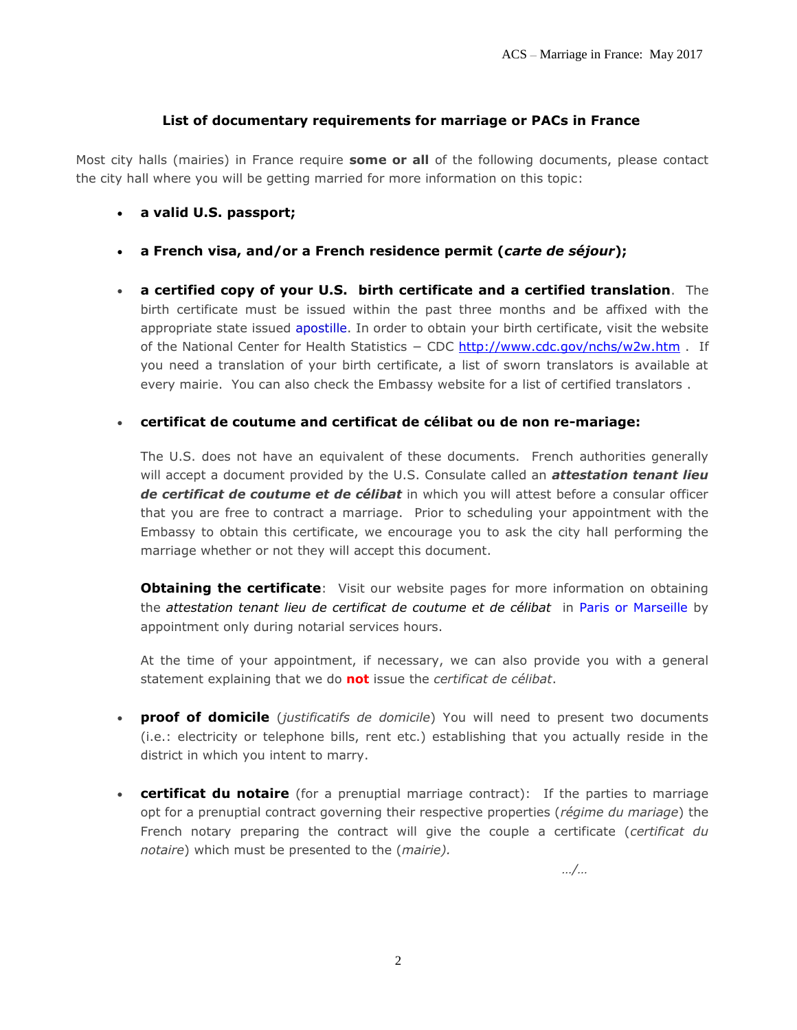### **List of documentary requirements for marriage or PACs in France**

Most city halls (mairies) in France require **some or all** of the following documents, please contact the city hall where you will be getting married for more information on this topic:

- **a valid U.S. passport;**
- **a French visa, and/or a French residence permit (***carte de séjour***);**
- **a certified copy of your U.S. birth certificate and a certified translation**. The birth certificate must be issued within the past three months and be affixed with the appropriate state issued [apostille.](https://fr.usembassy.gov/wp-content/uploads/sites/50/2017/05/acs_apostille-us.pdf) In order to obtain your birth certificate, visit the website of the [National Center for Health Statistics](http://www.cdc.gov/nchs/w2w.htm) − CDC<http://www.cdc.gov/nchs/w2w.htm> . If you need a translation of your birth certificate, a list of sworn translators is available at every mairie. You can also check the Embassy website for a list of [certified translators](http://photos.state.gov/libraries/france/5/acs/usc_paris-translators.pdf) .

### **certificat de coutume and certificat de célibat ou de non re-mariage:**

The U.S. does not have an equivalent of these documents. French authorities generally will accept a document provided by the U.S. Consulate called an *[attestation tenant lieu](http://photos.state.gov/libraries/france/5/acs/Coutume-new-doc-example.pdf)  [de certificat de coutume](http://photos.state.gov/libraries/france/5/acs/Coutume-new-doc-example.pdf) et de célibat* in which you will attest before a consular officer that you are free to contract a marriage. Prior to scheduling your appointment with the Embassy to obtain this certificate, we encourage you to ask the city hall performing the marriage whether or not they will accept this document.

**Obtaining the certificate**: Visit our website [pages](http://france.usembassy.gov/usc_marriagecoutume.html) for more information on obtaining the *attestation tenant lieu de certificat de coutume et de célibat* in [Paris or Marseille](https://fr.usembassy.gov/u-s-citizen-services/notarial-services-all-nationalities/documents-we-notarize/) by appointment only during notarial services hours.

At the time of your appointment, if necessary, we can also provide you with a general statement explaining that we do **not** issue the *certificat de célibat*.

- **proof of domicile** (*justificatifs de domicile*) You will need to present two documents (i.e.: electricity or telephone bills, rent etc.) establishing that you actually reside in the district in which you intent to marry.
- **certificat du notaire** (for a prenuptial marriage contract): If the parties to marriage opt for a prenuptial contract governing their respective properties (*régime du mariage*) the French notary preparing the contract will give the couple a certificate (*certificat du notaire*) which must be presented to the (*mairie).*

*…/…*